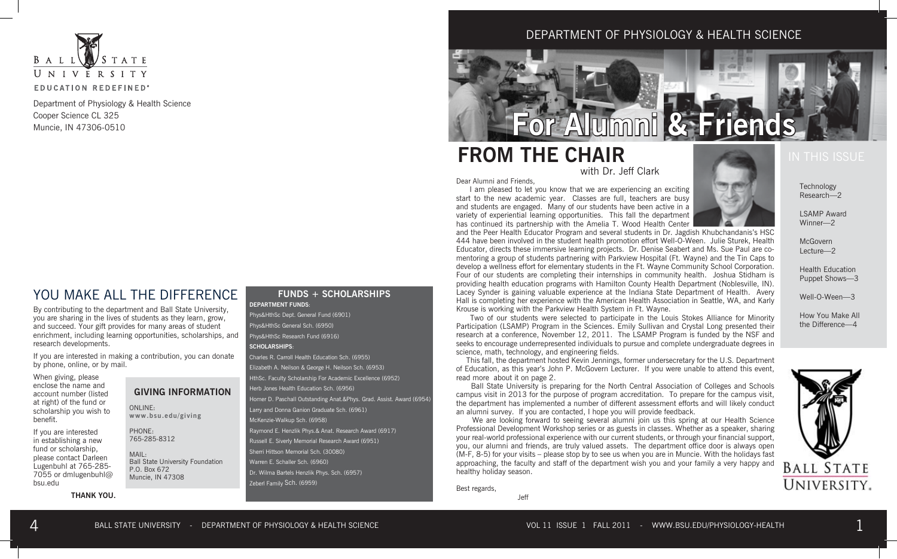

Department of Physiology & Health Science Cooper Science CL 325 Muncie, IN 47306-0510

### YOU MAKE ALL THE DIFFERENCE

By contributing to the department and Ball State University, you are sharing in the lives of students as they learn, grow, and succeed. Your gift provides for many areas of student enrichment, including learning opportunities, scholarships, and research developments.

If you are interested in making a contribution, you can donate by phone, online, or by mail.

When giving, please enclose the name and account number (listed at right) of the fund or scholarship you wish to benefit.

If you are interested in establishing a new fund or scholarship, please contact Darleen Lugenbuhl at 765-285- 7055 or dmlugenbuhl@ bsu.edu

**THANK YOU.** 

### **GIVING INFORMATION**

ONLINE: **www.bsu.edu/giving**

PHONE: 765-285-8312

MAIL: Ball State University Foundation P.O. Box 672 Muncie, IN 47308

#### **FUNDS + SCHOLARSHIPS DEPARTMENT FUNDS**:

Phys&HthSc Dept. General Fund (6901) Phys&HthSc General Sch. (6950) Phys&HthSc Research Fund (6916) **SCHOLARSHIPS**:

Charles R. Carroll Health Education Sch. (6955) Elizabeth A. Neilson & George H. Neilson Sch. (6953) HthSc. Faculty Scholarship For Academic Excellence (6952) Herb Jones Health Education Sch. (6956) Homer D. Paschall Outstanding Anat.&Phys. Grad. Assist. Award (6954) Larry and Donna Ganion Graduate Sch. (6961) McKenzie-Walkup Sch. (6958) Raymond E. Henzlik Phys.& Anat. Research Award (6917) Russell E. Siverly Memorial Research Award (6951) Sherri Hittson Memorial Sch. (30080) Warren E. Schaller Sch. (6960) Dr. Wilma Bartels Henzlik Phys. Sch. (6957) Zeberl Family Sch. (6959)

DEPARTMENT OF PHYSIOLOGY & HEALTH SCIENCE

**Alumni & Friend** 

## **FROM THE CHAIR**

with Dr. Jeff Clark

Dear Alumni and Friends,

 I am pleased to let you know that we are experiencing an exciting start to the new academic year. Classes are full, teachers are busy and students are engaged. Many of our students have been active in a variety of experiential learning opportunities. This fall the department has continued its partnership with the Amelia T. Wood Health Center

and the Peer Health Educator Program and several students in Dr. Jagdish Khubchandanis's HSC 444 have been involved in the student health promotion effort Well-O-Ween. Julie Sturek, Health Educator, directs these immersive learning projects. Dr. Denise Seabert and Ms. Sue Paul are comentoring a group of students partnering with Parkview Hospital (Ft. Wayne) and the Tin Caps to develop a wellness effort for elementary students in the Ft. Wayne Community School Corporation. Four of our students are completing their internships in community health. Joshua Stidham is providing health education programs with Hamilton County Health Department (Noblesville, IN). Lacey Synder is gaining valuable experience at the Indiana State Department of Health. Avery Hall is completing her experience with the American Health Association in Seattle, WA, and Karly Krouse is working with the Parkview Health System in Ft. Wayne.

 Two of our students were selected to participate in the Louis Stokes Alliance for Minority Participation (LSAMP) Program in the Sciences. Emily Sullivan and Crystal Long presented their research at a conference, November 12, 2011. The LSAMP Program is funded by the NSF and seeks to encourage underrepresented individuals to pursue and complete undergraduate degrees in science, math, technology, and engineering fields.

 This fall, the department hosted Kevin Jennings, former undersecretary for the U.S. Department of Education, as this year's John P. McGovern Lecturer. If you were unable to attend this event, read more about it on page 2.

 Ball State University is preparing for the North Central Association of Colleges and Schools campus visit in 2013 for the purpose of program accreditation. To prepare for the campus visit, the department has implemented a number of different assessment efforts and will likely conduct an alumni survey. If you are contacted, I hope you will provide feedback.

We are looking forward to seeing several alumni join us this spring at our Health Science Professional Development Workshop series or as guests in classes. Whether as a speaker, sharing your real-world professional experience with our current students, or through your financial support, you, our alumni and friends, are truly valued assets. The department office door is always open (M-F, 8-5) for your visits – please stop by to see us when you are in Muncie. With the holidays fast approaching, the faculty and staff of the department wish you and your family a very happy and healthy holiday season.

Best regards,

Jeff



Lortim Tiwara<br>Winner—2  $P^{\text{max}}$ LSAMP Award

meaorem<br>Lecture—2  $\cot \frac{2}{\csc^2 2}$ McGovern

Daith Laabat Puppet Shows—3 Well-O-Ween-3 Health Education

How You Make All the Difference—4  $\overline{S}$  defined